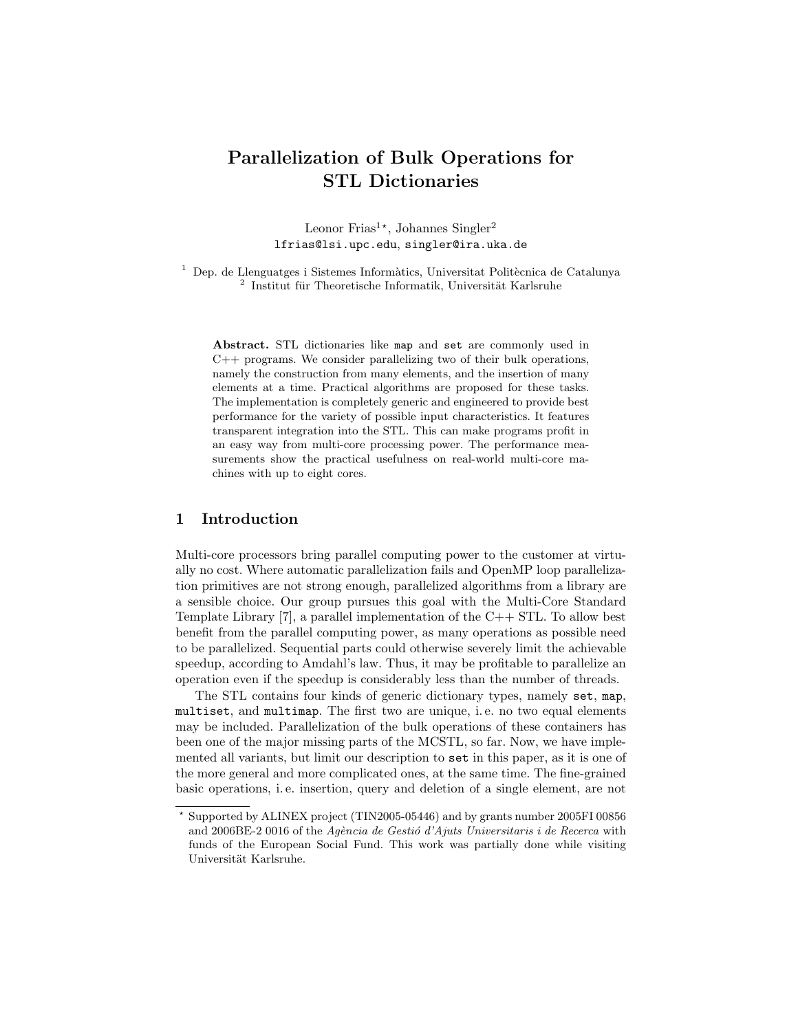# Parallelization of Bulk Operations for STL Dictionaries

Leonor Frias<sup>1\*</sup>, Johannes Singler<sup>2</sup> lfrias@lsi.upc.edu, singler@ira.uka.de

 $1$  Dep. de Llenguatges i Sistemes Informàtics, Universitat Politècnica de Catalunya  $2$  Institut für Theoretische Informatik, Universität Karlsruhe

Abstract. STL dictionaries like map and set are commonly used in C++ programs. We consider parallelizing two of their bulk operations, namely the construction from many elements, and the insertion of many elements at a time. Practical algorithms are proposed for these tasks. The implementation is completely generic and engineered to provide best performance for the variety of possible input characteristics. It features transparent integration into the STL. This can make programs profit in an easy way from multi-core processing power. The performance measurements show the practical usefulness on real-world multi-core machines with up to eight cores.

## 1 Introduction

Multi-core processors bring parallel computing power to the customer at virtually no cost. Where automatic parallelization fails and OpenMP loop parallelization primitives are not strong enough, parallelized algorithms from a library are a sensible choice. Our group pursues this goal with the Multi-Core Standard Template Library [7], a parallel implementation of the C++ STL. To allow best benefit from the parallel computing power, as many operations as possible need to be parallelized. Sequential parts could otherwise severely limit the achievable speedup, according to Amdahl's law. Thus, it may be profitable to parallelize an operation even if the speedup is considerably less than the number of threads.

The STL contains four kinds of generic dictionary types, namely set, map, multiset, and multimap. The first two are unique, i. e. no two equal elements may be included. Parallelization of the bulk operations of these containers has been one of the major missing parts of the MCSTL, so far. Now, we have implemented all variants, but limit our description to set in this paper, as it is one of the more general and more complicated ones, at the same time. The fine-grained basic operations, i. e. insertion, query and deletion of a single element, are not

<sup>?</sup> Supported by ALINEX project (TIN2005-05446) and by grants number 2005FI 00856 and 2006BE-2 0016 of the Agència de Gestió d'Ajuts Universitaris i de Recerca with funds of the European Social Fund. This work was partially done while visiting Universität Karlsruhe.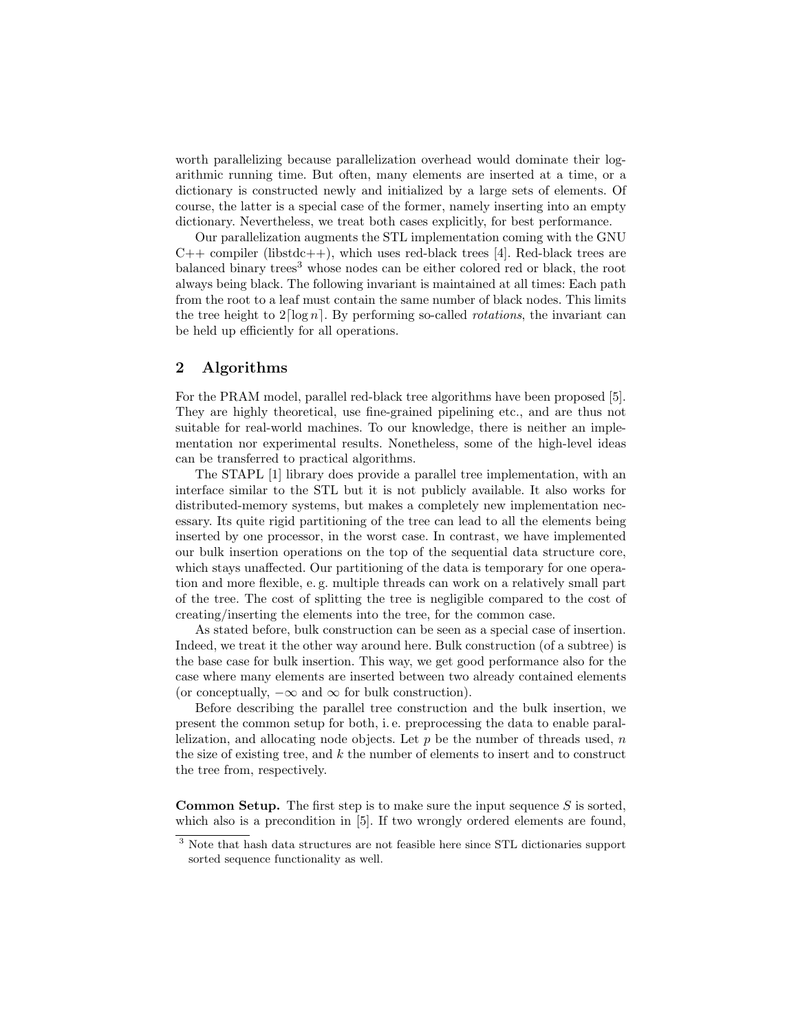worth parallelizing because parallelization overhead would dominate their logarithmic running time. But often, many elements are inserted at a time, or a dictionary is constructed newly and initialized by a large sets of elements. Of course, the latter is a special case of the former, namely inserting into an empty dictionary. Nevertheless, we treat both cases explicitly, for best performance.

Our parallelization augments the STL implementation coming with the GNU  $C++$  compiler (libstdc++), which uses red-black trees [4]. Red-black trees are balanced binary trees<sup>3</sup> whose nodes can be either colored red or black, the root always being black. The following invariant is maintained at all times: Each path from the root to a leaf must contain the same number of black nodes. This limits the tree height to  $2\lceil \log n \rceil$ . By performing so-called *rotations*, the invariant can be held up efficiently for all operations.

## 2 Algorithms

For the PRAM model, parallel red-black tree algorithms have been proposed [5]. They are highly theoretical, use fine-grained pipelining etc., and are thus not suitable for real-world machines. To our knowledge, there is neither an implementation nor experimental results. Nonetheless, some of the high-level ideas can be transferred to practical algorithms.

The STAPL [1] library does provide a parallel tree implementation, with an interface similar to the STL but it is not publicly available. It also works for distributed-memory systems, but makes a completely new implementation necessary. Its quite rigid partitioning of the tree can lead to all the elements being inserted by one processor, in the worst case. In contrast, we have implemented our bulk insertion operations on the top of the sequential data structure core, which stays unaffected. Our partitioning of the data is temporary for one operation and more flexible, e. g. multiple threads can work on a relatively small part of the tree. The cost of splitting the tree is negligible compared to the cost of creating/inserting the elements into the tree, for the common case.

As stated before, bulk construction can be seen as a special case of insertion. Indeed, we treat it the other way around here. Bulk construction (of a subtree) is the base case for bulk insertion. This way, we get good performance also for the case where many elements are inserted between two already contained elements (or conceptually,  $-\infty$  and  $\infty$  for bulk construction).

Before describing the parallel tree construction and the bulk insertion, we present the common setup for both, i. e. preprocessing the data to enable parallelization, and allocating node objects. Let  $p$  be the number of threads used,  $n$ the size of existing tree, and  $k$  the number of elements to insert and to construct the tree from, respectively.

**Common Setup.** The first step is to make sure the input sequence  $S$  is sorted, which also is a precondition in [5]. If two wrongly ordered elements are found,

<sup>3</sup> Note that hash data structures are not feasible here since STL dictionaries support sorted sequence functionality as well.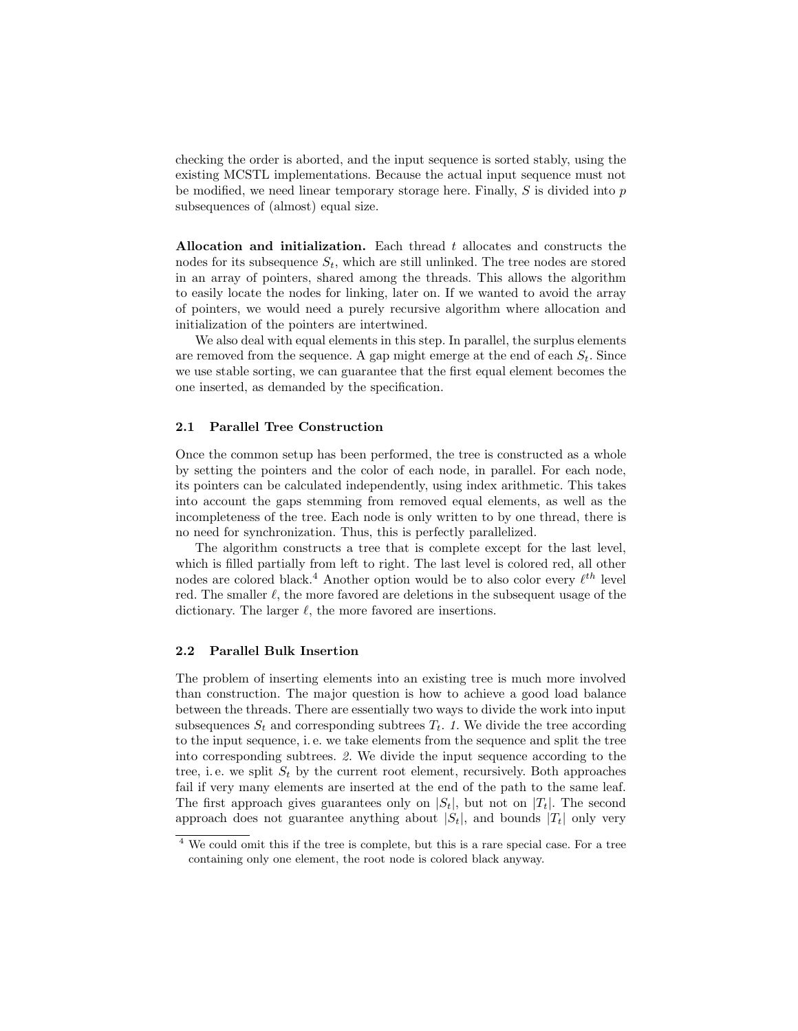checking the order is aborted, and the input sequence is sorted stably, using the existing MCSTL implementations. Because the actual input sequence must not be modified, we need linear temporary storage here. Finally,  $S$  is divided into  $p$ subsequences of (almost) equal size.

Allocation and initialization. Each thread  $t$  allocates and constructs the nodes for its subsequence  $S_t$ , which are still unlinked. The tree nodes are stored in an array of pointers, shared among the threads. This allows the algorithm to easily locate the nodes for linking, later on. If we wanted to avoid the array of pointers, we would need a purely recursive algorithm where allocation and initialization of the pointers are intertwined.

We also deal with equal elements in this step. In parallel, the surplus elements are removed from the sequence. A gap might emerge at the end of each  $S_t$ . Since we use stable sorting, we can guarantee that the first equal element becomes the one inserted, as demanded by the specification.

### 2.1 Parallel Tree Construction

Once the common setup has been performed, the tree is constructed as a whole by setting the pointers and the color of each node, in parallel. For each node, its pointers can be calculated independently, using index arithmetic. This takes into account the gaps stemming from removed equal elements, as well as the incompleteness of the tree. Each node is only written to by one thread, there is no need for synchronization. Thus, this is perfectly parallelized.

The algorithm constructs a tree that is complete except for the last level, which is filled partially from left to right. The last level is colored red, all other nodes are colored black.<sup>4</sup> Another option would be to also color every  $\ell^{th}$  level red. The smaller  $\ell$ , the more favored are deletions in the subsequent usage of the dictionary. The larger  $\ell$ , the more favored are insertions.

#### 2.2 Parallel Bulk Insertion

The problem of inserting elements into an existing tree is much more involved than construction. The major question is how to achieve a good load balance between the threads. There are essentially two ways to divide the work into input subsequences  $S_t$  and corresponding subtrees  $T_t$ . 1. We divide the tree according to the input sequence, i. e. we take elements from the sequence and split the tree into corresponding subtrees. 2. We divide the input sequence according to the tree, i.e. we split  $S_t$  by the current root element, recursively. Both approaches fail if very many elements are inserted at the end of the path to the same leaf. The first approach gives guarantees only on  $|S_t|$ , but not on  $|T_t|$ . The second approach does not guarantee anything about  $|S_t|$ , and bounds  $|T_t|$  only very

<sup>4</sup> We could omit this if the tree is complete, but this is a rare special case. For a tree containing only one element, the root node is colored black anyway.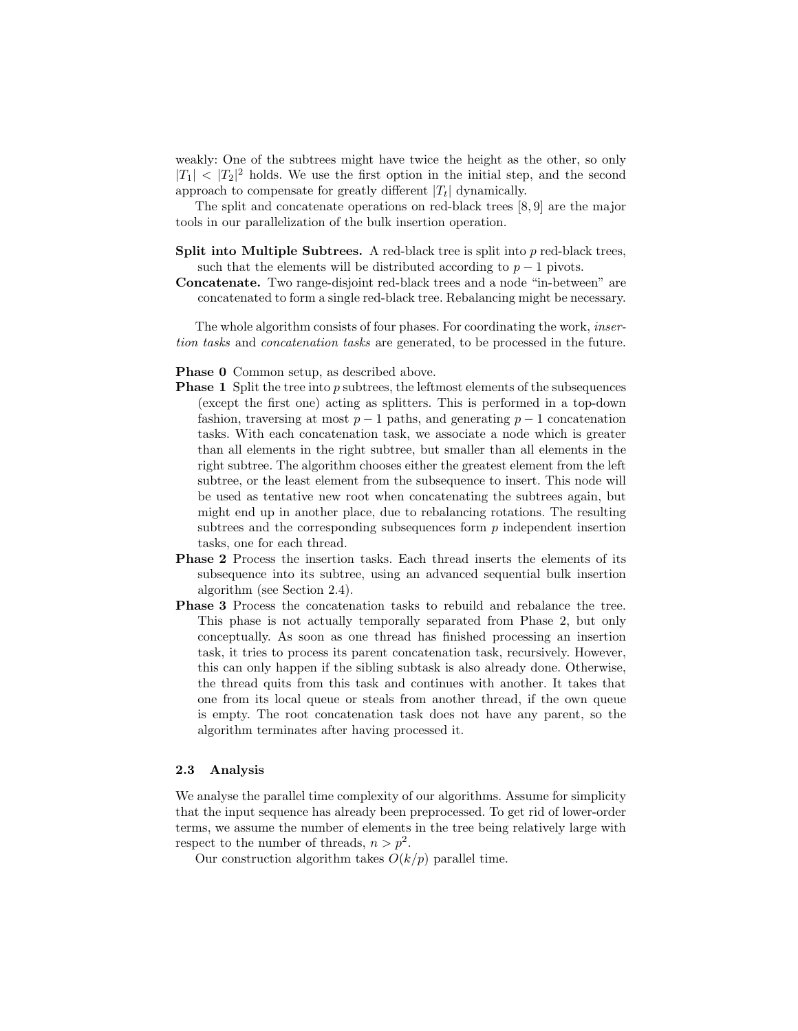weakly: One of the subtrees might have twice the height as the other, so only  $|T_1|$  <  $|T_2|^2$  holds. We use the first option in the initial step, and the second approach to compensate for greatly different  $|T_t|$  dynamically.

The split and concatenate operations on red-black trees [8, 9] are the major tools in our parallelization of the bulk insertion operation.

- **Split into Multiple Subtrees.** A red-black tree is split into  $p$  red-black trees, such that the elements will be distributed according to  $p-1$  pivots.
- Concatenate. Two range-disjoint red-black trees and a node "in-between" are concatenated to form a single red-black tree. Rebalancing might be necessary.

The whole algorithm consists of four phases. For coordinating the work, insertion tasks and concatenation tasks are generated, to be processed in the future.

Phase 0 Common setup, as described above.

- **Phase 1** Split the tree into p subtrees, the leftmost elements of the subsequences (except the first one) acting as splitters. This is performed in a top-down fashion, traversing at most  $p-1$  paths, and generating  $p-1$  concatenation tasks. With each concatenation task, we associate a node which is greater than all elements in the right subtree, but smaller than all elements in the right subtree. The algorithm chooses either the greatest element from the left subtree, or the least element from the subsequence to insert. This node will be used as tentative new root when concatenating the subtrees again, but might end up in another place, due to rebalancing rotations. The resulting subtrees and the corresponding subsequences form  $p$  independent insertion tasks, one for each thread.
- Phase 2 Process the insertion tasks. Each thread inserts the elements of its subsequence into its subtree, using an advanced sequential bulk insertion algorithm (see Section 2.4).
- Phase 3 Process the concatenation tasks to rebuild and rebalance the tree. This phase is not actually temporally separated from Phase 2, but only conceptually. As soon as one thread has finished processing an insertion task, it tries to process its parent concatenation task, recursively. However, this can only happen if the sibling subtask is also already done. Otherwise, the thread quits from this task and continues with another. It takes that one from its local queue or steals from another thread, if the own queue is empty. The root concatenation task does not have any parent, so the algorithm terminates after having processed it.

#### 2.3 Analysis

We analyse the parallel time complexity of our algorithms. Assume for simplicity that the input sequence has already been preprocessed. To get rid of lower-order terms, we assume the number of elements in the tree being relatively large with respect to the number of threads,  $n > p^2$ .

Our construction algorithm takes  $O(k/p)$  parallel time.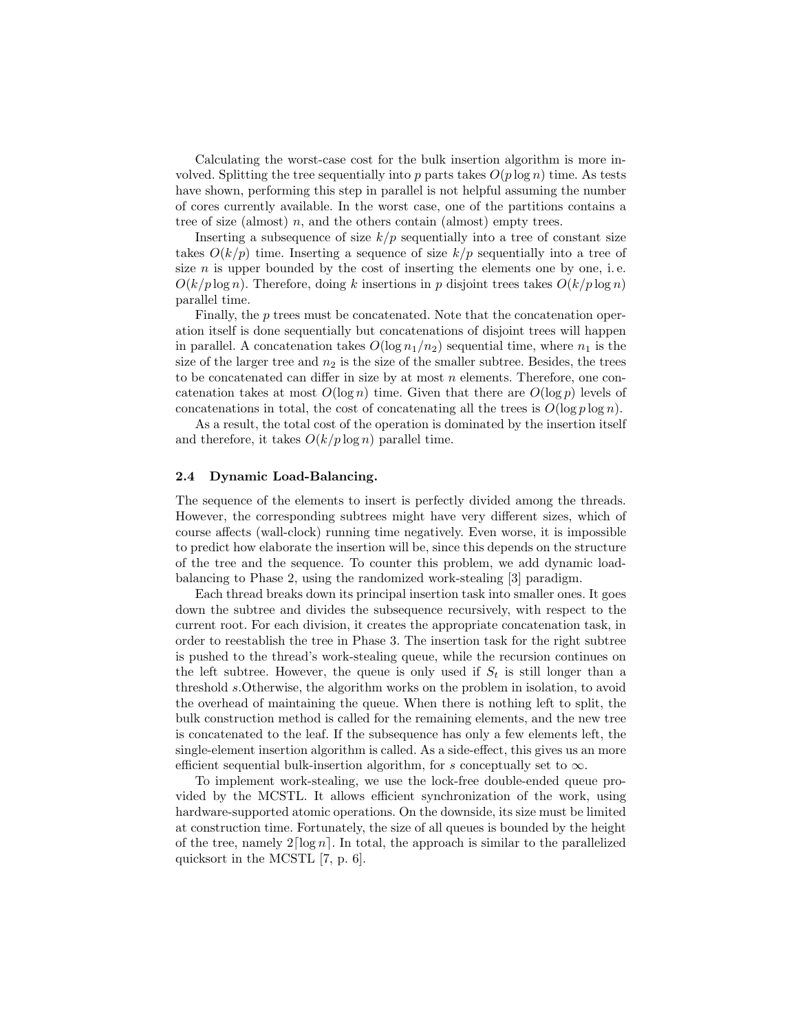Calculating the worst-case cost for the bulk insertion algorithm is more involved. Splitting the tree sequentially into p parts takes  $O(p \log n)$  time. As tests have shown, performing this step in parallel is not helpful assuming the number of cores currently available. In the worst case, one of the partitions contains a tree of size (almost)  $n$ , and the others contain (almost) empty trees.

Inserting a subsequence of size  $k/p$  sequentially into a tree of constant size takes  $O(k/p)$  time. Inserting a sequence of size  $k/p$  sequentially into a tree of size  $n$  is upper bounded by the cost of inserting the elements one by one, i.e.  $O(k/p \log n)$ . Therefore, doing k insertions in p disjoint trees takes  $O(k/p \log n)$ parallel time.

Finally, the  $p$  trees must be concatenated. Note that the concatenation operation itself is done sequentially but concatenations of disjoint trees will happen in parallel. A concatenation takes  $O(\log n_1/n_2)$  sequential time, where  $n_1$  is the size of the larger tree and  $n_2$  is the size of the smaller subtree. Besides, the trees to be concatenated can differ in size by at most  $n$  elements. Therefore, one concatenation takes at most  $O(\log n)$  time. Given that there are  $O(\log p)$  levels of concatenations in total, the cost of concatenating all the trees is  $O(\log p \log n)$ .

As a result, the total cost of the operation is dominated by the insertion itself and therefore, it takes  $O(k/p \log n)$  parallel time.

#### 2.4 Dynamic Load-Balancing.

The sequence of the elements to insert is perfectly divided among the threads. However, the corresponding subtrees might have very different sizes, which of course affects (wall-clock) running time negatively. Even worse, it is impossible to predict how elaborate the insertion will be, since this depends on the structure of the tree and the sequence. To counter this problem, we add dynamic loadbalancing to Phase 2, using the randomized work-stealing [3] paradigm.

Each thread breaks down its principal insertion task into smaller ones. It goes down the subtree and divides the subsequence recursively, with respect to the current root. For each division, it creates the appropriate concatenation task, in order to reestablish the tree in Phase 3. The insertion task for the right subtree is pushed to the thread's work-stealing queue, while the recursion continues on the left subtree. However, the queue is only used if  $S_t$  is still longer than a threshold s.Otherwise, the algorithm works on the problem in isolation, to avoid the overhead of maintaining the queue. When there is nothing left to split, the bulk construction method is called for the remaining elements, and the new tree is concatenated to the leaf. If the subsequence has only a few elements left, the single-element insertion algorithm is called. As a side-effect, this gives us an more efficient sequential bulk-insertion algorithm, for s conceptually set to  $\infty$ .

To implement work-stealing, we use the lock-free double-ended queue provided by the MCSTL. It allows efficient synchronization of the work, using hardware-supported atomic operations. On the downside, its size must be limited at construction time. Fortunately, the size of all queues is bounded by the height of the tree, namely  $2\lceil \log n \rceil$ . In total, the approach is similar to the parallelized quicksort in the MCSTL [7, p. 6].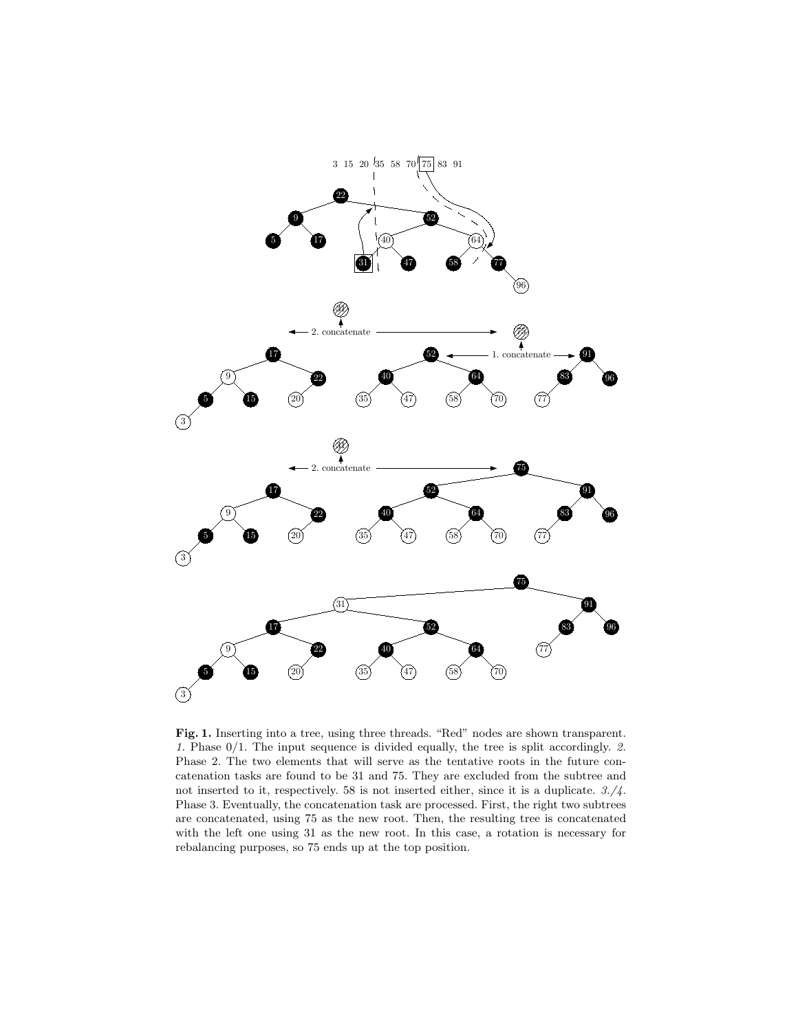

Fig. 1. Inserting into a tree, using three threads. "Red" nodes are shown transparent. 1. Phase 0/1. The input sequence is divided equally, the tree is split accordingly. 2. Phase 2. The two elements that will serve as the tentative roots in the future concatenation tasks are found to be 31 and 75. They are excluded from the subtree and not inserted to it, respectively. 58 is not inserted either, since it is a duplicate.  $3./4$ . Phase 3. Eventually, the concatenation task are processed. First, the right two subtrees are concatenated, using 75 as the new root. Then, the resulting tree is concatenated with the left one using 31 as the new root. In this case, a rotation is necessary for rebalancing purposes, so 75 ends up at the top position.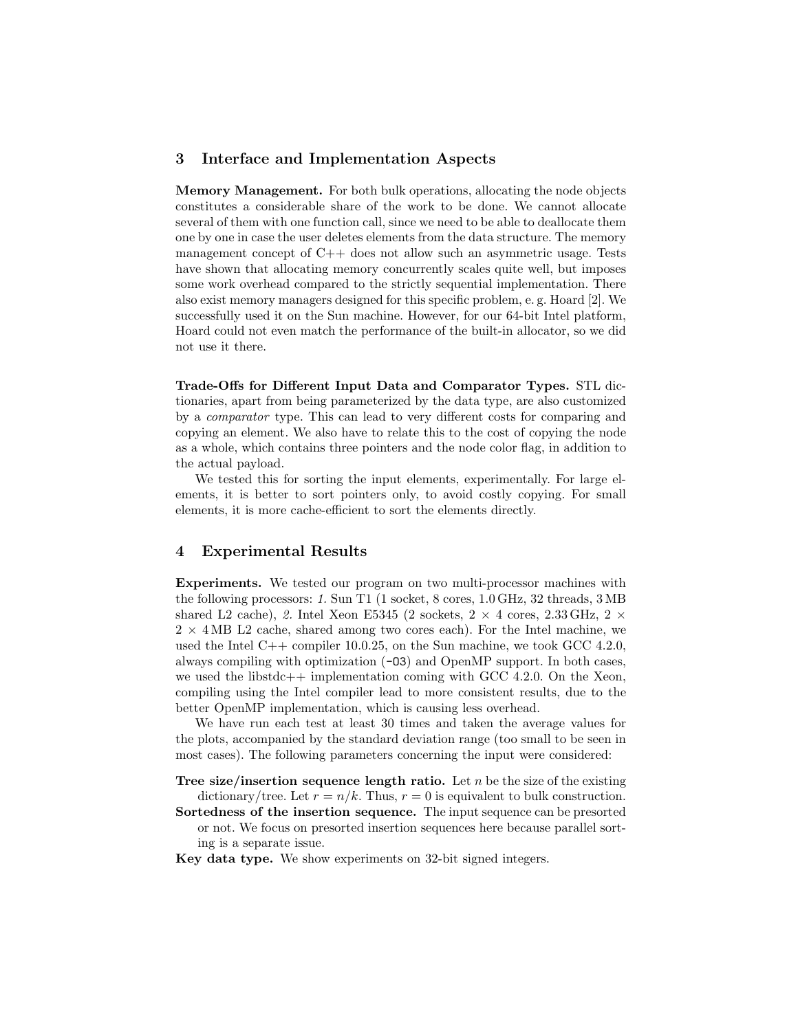## 3 Interface and Implementation Aspects

Memory Management. For both bulk operations, allocating the node objects constitutes a considerable share of the work to be done. We cannot allocate several of them with one function call, since we need to be able to deallocate them one by one in case the user deletes elements from the data structure. The memory management concept of C++ does not allow such an asymmetric usage. Tests have shown that allocating memory concurrently scales quite well, but imposes some work overhead compared to the strictly sequential implementation. There also exist memory managers designed for this specific problem, e. g. Hoard [2]. We successfully used it on the Sun machine. However, for our 64-bit Intel platform, Hoard could not even match the performance of the built-in allocator, so we did not use it there.

Trade-Offs for Different Input Data and Comparator Types. STL dictionaries, apart from being parameterized by the data type, are also customized by a comparator type. This can lead to very different costs for comparing and copying an element. We also have to relate this to the cost of copying the node as a whole, which contains three pointers and the node color flag, in addition to the actual payload.

We tested this for sorting the input elements, experimentally. For large elements, it is better to sort pointers only, to avoid costly copying. For small elements, it is more cache-efficient to sort the elements directly.

## 4 Experimental Results

Experiments. We tested our program on two multi-processor machines with the following processors: 1. Sun T1 (1 socket, 8 cores, 1.0 GHz, 32 threads, 3 MB shared L2 cache), 2. Intel Xeon E5345 (2 sockets,  $2 \times 4$  cores,  $2.33 \text{ GHz}$ ,  $2 \times$  $2 \times 4 \text{ MB } L2$  cache, shared among two cores each). For the Intel machine, we used the Intel C++ compiler 10.0.25, on the Sun machine, we took GCC 4.2.0, always compiling with optimization (-O3) and OpenMP support. In both cases, we used the libstdc++ implementation coming with GCC 4.2.0. On the Xeon, compiling using the Intel compiler lead to more consistent results, due to the better OpenMP implementation, which is causing less overhead.

We have run each test at least 30 times and taken the average values for the plots, accompanied by the standard deviation range (too small to be seen in most cases). The following parameters concerning the input were considered:

- Tree size/insertion sequence length ratio. Let  $n$  be the size of the existing dictionary/tree. Let  $r = n/k$ . Thus,  $r = 0$  is equivalent to bulk construction.
- Sortedness of the insertion sequence. The input sequence can be presorted or not. We focus on presorted insertion sequences here because parallel sorting is a separate issue.
- Key data type. We show experiments on 32-bit signed integers.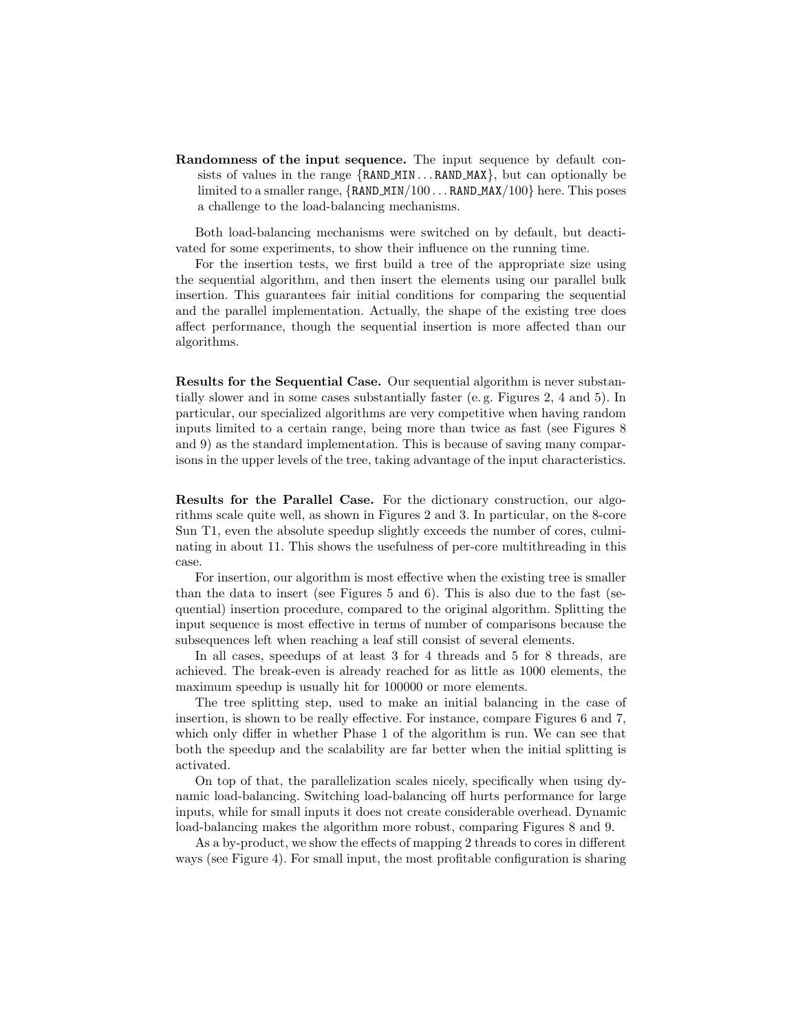Randomness of the input sequence. The input sequence by default consists of values in the range {RAND MIN . . . RAND MAX}, but can optionally be limited to a smaller range,  $\{$  RAND\_MIN/100 . . . RAND\_MAX/100} here. This poses a challenge to the load-balancing mechanisms.

Both load-balancing mechanisms were switched on by default, but deactivated for some experiments, to show their influence on the running time.

For the insertion tests, we first build a tree of the appropriate size using the sequential algorithm, and then insert the elements using our parallel bulk insertion. This guarantees fair initial conditions for comparing the sequential and the parallel implementation. Actually, the shape of the existing tree does affect performance, though the sequential insertion is more affected than our algorithms.

Results for the Sequential Case. Our sequential algorithm is never substantially slower and in some cases substantially faster (e. g. Figures 2, 4 and 5). In particular, our specialized algorithms are very competitive when having random inputs limited to a certain range, being more than twice as fast (see Figures 8 and 9) as the standard implementation. This is because of saving many comparisons in the upper levels of the tree, taking advantage of the input characteristics.

Results for the Parallel Case. For the dictionary construction, our algorithms scale quite well, as shown in Figures 2 and 3. In particular, on the 8-core Sun T1, even the absolute speedup slightly exceeds the number of cores, culminating in about 11. This shows the usefulness of per-core multithreading in this case.

For insertion, our algorithm is most effective when the existing tree is smaller than the data to insert (see Figures 5 and 6). This is also due to the fast (sequential) insertion procedure, compared to the original algorithm. Splitting the input sequence is most effective in terms of number of comparisons because the subsequences left when reaching a leaf still consist of several elements.

In all cases, speedups of at least 3 for 4 threads and 5 for 8 threads, are achieved. The break-even is already reached for as little as 1000 elements, the maximum speedup is usually hit for 100000 or more elements.

The tree splitting step, used to make an initial balancing in the case of insertion, is shown to be really effective. For instance, compare Figures 6 and 7, which only differ in whether Phase 1 of the algorithm is run. We can see that both the speedup and the scalability are far better when the initial splitting is activated.

On top of that, the parallelization scales nicely, specifically when using dynamic load-balancing. Switching load-balancing off hurts performance for large inputs, while for small inputs it does not create considerable overhead. Dynamic load-balancing makes the algorithm more robust, comparing Figures 8 and 9.

As a by-product, we show the effects of mapping 2 threads to cores in different ways (see Figure 4). For small input, the most profitable configuration is sharing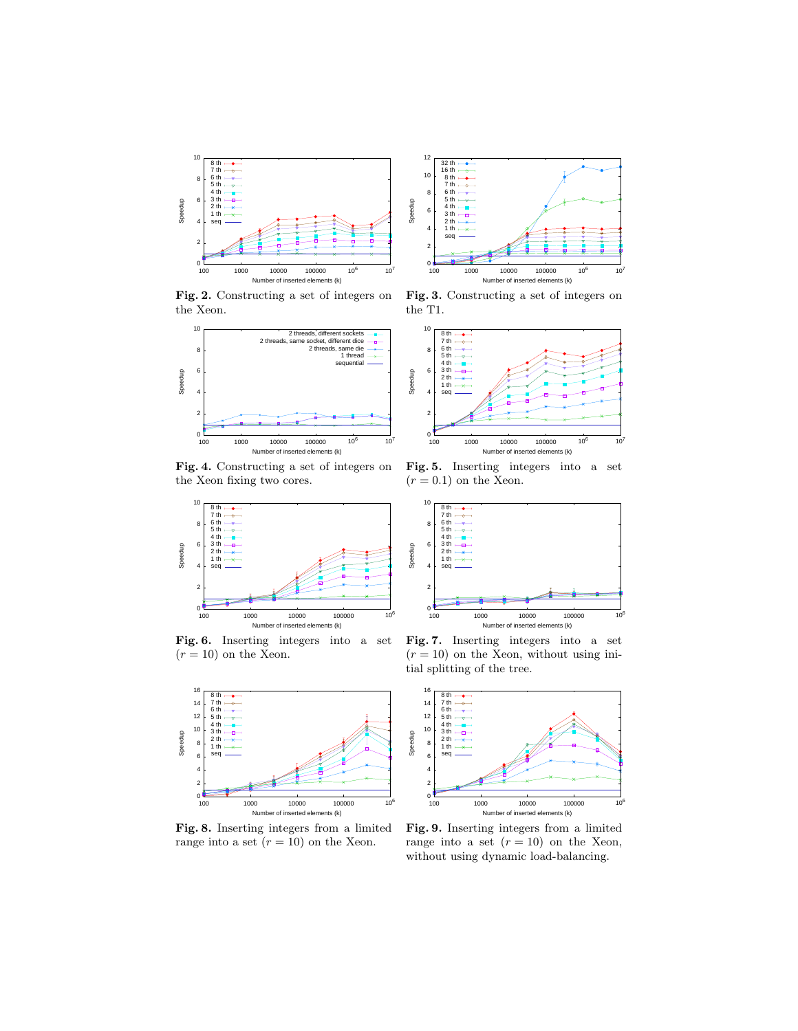

Fig. 2. Constructing a set of integers on the Xeon.



Fig. 4. Constructing a set of integers on the Xeon fixing two cores.



Fig. 6. Inserting integers into a set  $(r = 10)$  on the Xeon.



Fig. 8. Inserting integers from a limited range into a set  $(r = 10)$  on the Xeon.



Fig. 3. Constructing a set of integers on the T1.



Fig. 5. Inserting integers into a set  $(r = 0.1)$  on the Xeon.



Fig. 7. Inserting integers into a set  $(r = 10)$  on the Xeon, without using initial splitting of the tree.



Fig. 9. Inserting integers from a limited range into a set  $(r = 10)$  on the Xeon, without using dynamic load-balancing.